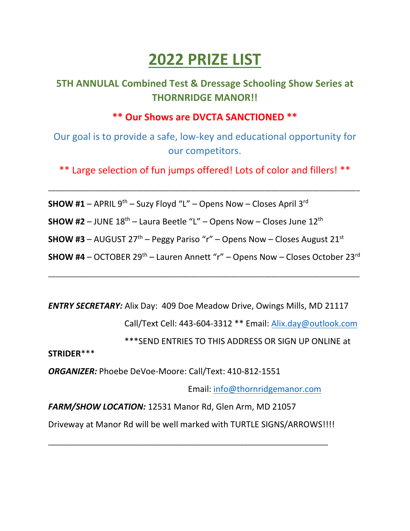# **2022 PRIZE LIST**

### **5TH ANNULAL Combined Test & Dressage Schooling Show Series at THORNRIDGE MANOR!!**

#### **\*\* Our Shows are DVCTA SANCTIONED \*\***

Our goal is to provide a safe, low-key and educational opportunity for our competitors.

\*\* Large selection of fun jumps offered! Lots of color and fillers! \*\*

\_\_\_\_\_\_\_\_\_\_\_\_\_\_\_\_\_\_\_\_\_\_\_\_\_\_\_\_\_\_\_\_\_\_\_\_\_\_\_\_\_\_\_\_\_\_\_\_\_\_\_\_\_\_\_\_\_\_\_\_\_\_\_\_\_\_\_\_\_\_\_\_\_\_\_\_\_\_\_\_\_\_\_\_\_

**SHOW #1** – APRIL  $9^{th}$  – Suzy Floyd "L" – Opens Now – Closes April  $3^{rd}$ 

**SHOW #2** – JUNE  $18<sup>th</sup>$  – Laura Beetle "L" – Opens Now – Closes June  $12<sup>th</sup>$ 

**SHOW #3** – AUGUST  $27<sup>th</sup>$  – Peggy Pariso "r" – Opens Now – Closes August  $21<sup>st</sup>$ 

**SHOW #4** – OCTOBER 29<sup>th</sup> – Lauren Annett "r" – Opens Now – Closes October 23<sup>rd</sup>

\_\_\_\_\_\_\_\_\_\_\_\_\_\_\_\_\_\_\_\_\_\_\_\_\_\_\_\_\_\_\_\_\_\_\_\_\_\_\_\_\_\_\_\_\_\_\_\_\_\_\_\_\_\_\_\_\_\_\_\_\_\_\_\_\_\_\_\_\_\_\_\_\_\_\_\_\_\_\_\_\_\_\_\_\_

*ENTRY SECRETARY:* Alix Day: 409 Doe Meadow Drive, Owings Mills, MD 21117

Call/Text Cell: 443-604-3312 \*\* Email: [Alix.day@outlook.com](mailto:Alix.day@outlook.com)

\*\*\*SEND ENTRIES TO THIS ADDRESS OR SIGN UP ONLINE at

**STRIDER**\*\*\*

*ORGANIZER:* Phoebe DeVoe-Moore: Call/Text: 410-812-1551

Email: [info@thornridgemanor.com](mailto:info@thornridgemanor.com)

*FARM/SHOW LOCATION:* 12531 Manor Rd, Glen Arm, MD 21057

Driveway at Manor Rd will be well marked with TURTLE SIGNS/ARROWS!!!!

\_\_\_\_\_\_\_\_\_\_\_\_\_\_\_\_\_\_\_\_\_\_\_\_\_\_\_\_\_\_\_\_\_\_\_\_\_\_\_\_\_\_\_\_\_\_\_\_\_\_\_\_\_\_\_\_\_\_\_\_\_\_\_\_\_\_\_\_\_\_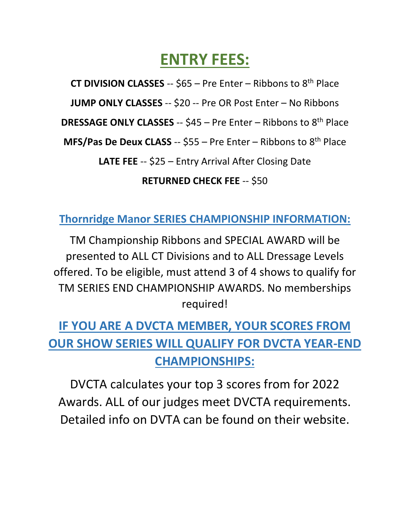## **ENTRY FEES:**

**CT DIVISION CLASSES** -- \$65 – Pre Enter – Ribbons to 8th Place

**JUMP ONLY CLASSES** -- \$20 -- Pre OR Post Enter – No Ribbons

**DRESSAGE ONLY CLASSES** -- \$45 – Pre Enter – Ribbons to 8th Place

**MFS/Pas De Deux CLASS** -- \$55 – Pre Enter – Ribbons to 8th Place

**LATE FEE** -- \$25 – Entry Arrival After Closing Date

### **RETURNED CHECK FEE** -- \$50

**Thornridge Manor SERIES CHAMPIONSHIP INFORMATION:**

TM Championship Ribbons and SPECIAL AWARD will be presented to ALL CT Divisions and to ALL Dressage Levels offered. To be eligible, must attend 3 of 4 shows to qualify for TM SERIES END CHAMPIONSHIP AWARDS. No memberships required!

## **IF YOU ARE A DVCTA MEMBER, YOUR SCORES FROM OUR SHOW SERIES WILL QUALIFY FOR DVCTA YEAR-END CHAMPIONSHIPS:**

DVCTA calculates your top 3 scores from for 2022 Awards. ALL of our judges meet DVCTA requirements. Detailed info on DVTA can be found on their website.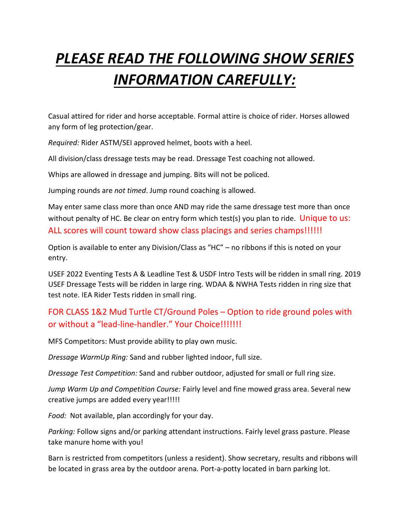# *PLEASE READ THE FOLLOWING SHOW SERIES INFORMATION CAREFULLY:*

Casual attired for rider and horse acceptable. Formal attire is choice of rider. Horses allowed any form of leg protection/gear.

*Required:* Rider ASTM/SEI approved helmet, boots with a heel.

All division/class dressage tests may be read. Dressage Test coaching not allowed.

Whips are allowed in dressage and jumping. Bits will not be policed.

Jumping rounds are *not timed*. Jump round coaching is allowed.

May enter same class more than once AND may ride the same dressage test more than once without penalty of HC. Be clear on entry form which test(s) you plan to ride. Unique to us: ALL scores will count toward show class placings and series champs!!!!!!

Option is available to enter any Division/Class as "HC" – no ribbons if this is noted on your entry.

USEF 2022 Eventing Tests A & Leadline Test & USDF Intro Tests will be ridden in small ring. 2019 USEF Dressage Tests will be ridden in large ring. WDAA & NWHA Tests ridden in ring size that test note. IEA Rider Tests ridden in small ring.

#### FOR CLASS 1&2 Mud Turtle CT/Ground Poles – Option to ride ground poles with or without a "lead-line-handler." Your Choice!!!!!!!

MFS Competitors: Must provide ability to play own music.

*Dressage WarmUp Ring:* Sand and rubber lighted indoor, full size.

*Dressage Test Competition:* Sand and rubber outdoor, adjusted for small or full ring size.

*Jump Warm Up and Competition Course:* Fairly level and fine mowed grass area. Several new creative jumps are added every year!!!!!

*Food:* Not available, plan accordingly for your day.

*Parking:* Follow signs and/or parking attendant instructions. Fairly level grass pasture. Please take manure home with you!

Barn is restricted from competitors (unless a resident). Show secretary, results and ribbons will be located in grass area by the outdoor arena. Port-a-potty located in barn parking lot.